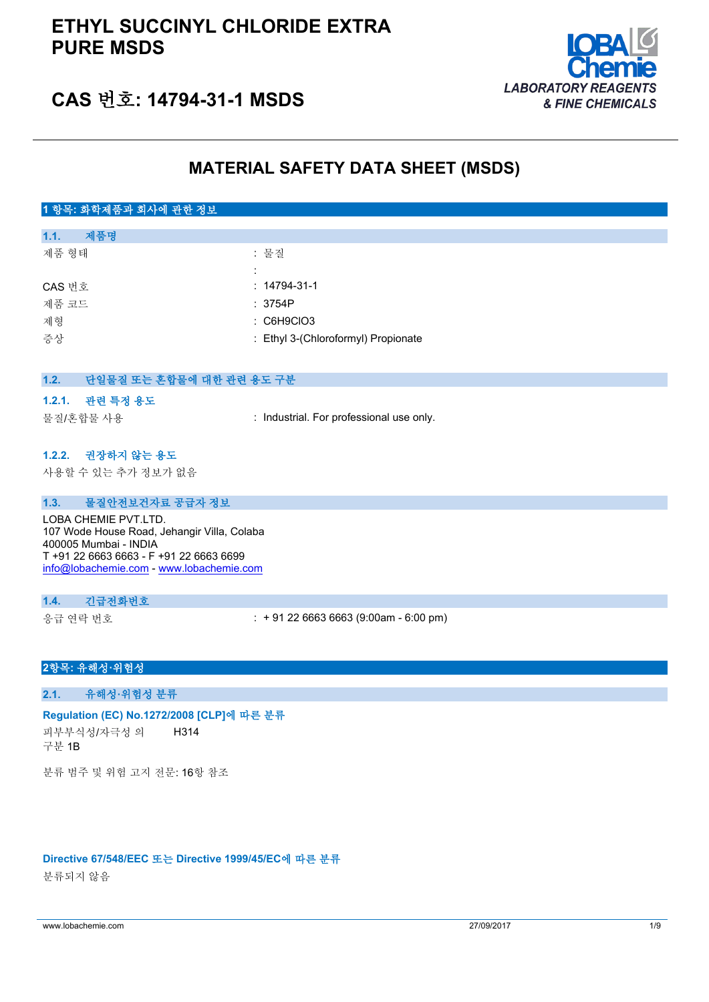

# **CAS 번호: 14794-31-1 MSDS**

# **MATERIAL SAFETY DATA SHEET (MSDS)**

# **1 항목: 화학제품과 회사에 관한 정보**

| 제품명<br>1.1. |                                     |
|-------------|-------------------------------------|
| 제품 형태       | : 물질                                |
|             | ٠                                   |
| CAS 번호      | $: 14794 - 31 - 1$                  |
| 제품 코드       | : 3754P                             |
| 제형          | $\therefore$ C6H9CIO3               |
| 증상          | : Ethyl 3-(Chloroformyl) Propionate |
|             |                                     |

| 응상       |                                                                                                                                                                                     | : Ethyl 3-(Chioroformyl) Propionate      |
|----------|-------------------------------------------------------------------------------------------------------------------------------------------------------------------------------------|------------------------------------------|
| 1.2.     | 단일물질 또는 혼합물에 대한 관련 용도 구분                                                                                                                                                            |                                          |
|          | 1.2.1. 관련 특정 용도                                                                                                                                                                     |                                          |
|          | 물질/혼합물 사용                                                                                                                                                                           | : Industrial. For professional use only. |
|          |                                                                                                                                                                                     |                                          |
|          | 1.2.2. 권장하지 않는 용도                                                                                                                                                                   |                                          |
|          | 사용할 수 있는 추가 정보가 없음                                                                                                                                                                  |                                          |
|          |                                                                                                                                                                                     |                                          |
| 1.3.     | 물질안전보건자료 공급자 정보                                                                                                                                                                     |                                          |
|          | LOBA CHEMIE PVT.LTD.<br>107 Wode House Road, Jehangir Villa, Colaba<br>400005 Mumbai - INDIA<br>T +91 22 6663 6663 - F +91 22 6663 6699<br>info@lobachemie.com - www.lobachemie.com |                                          |
| 1.4.     | 긴급전화번호                                                                                                                                                                              |                                          |
| 응급 연락 번호 |                                                                                                                                                                                     | $: +912266636663(9:00am - 6:00 pm)$      |

## **2항목: 유해성·위험성**

## **2.1. 유해성·위험성 분류**

#### **Regulation (EC) No.1272/2008 [CLP]에 따른 분류**

피부부식성/자극성 의 구분 1B H314

분류 범주 및 위험 고지 전문: 16항 참조

#### **Directive 67/548/EEC 또는 Directive 1999/45/EC에 따른 분류**

분류되지 않음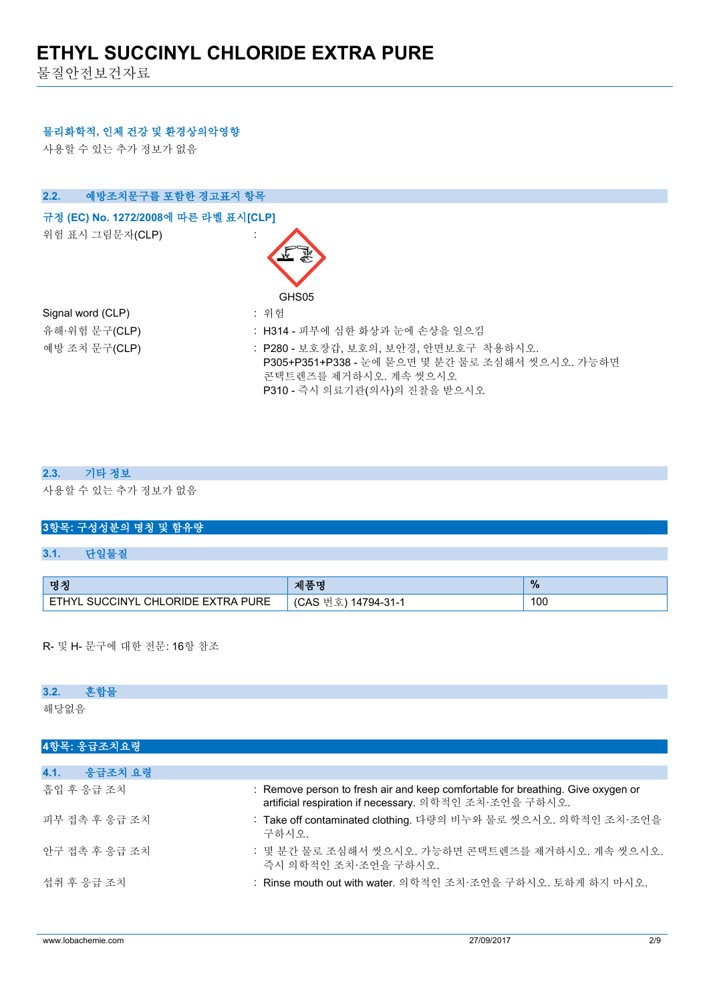물질안전보건자료

### **물리화학적, 인체 건강 및 환경상의악영향**

사용할 수 있는 추가 정보가 없음



### **2.3. 기타 정보**

사용할 수 있는 추가 정보가 없음

# **3항목: 구성성분의 명칭 및 함유량**

## **3.1. 단일물질**

| , 명치                                        | , 제품미                           | $\%$ |
|---------------------------------------------|---------------------------------|------|
| . SUCCINYL CHLORIDE EXTRA PURE<br><b>CT</b> | (CAS<br>14794-31-1<br><u>یک</u> | 100  |

R- 및 H- 문구에 대한 전문: 16항 참조

#### **3.2. 혼합물**

해당없음

| 4항목: 응급조치요령     |                                                                                                                                           |
|-----------------|-------------------------------------------------------------------------------------------------------------------------------------------|
|                 |                                                                                                                                           |
| 4.1.<br>응급조치 요령 |                                                                                                                                           |
| 흡입 후 응급 조치      | : Remove person to fresh air and keep comfortable for breathing. Give oxygen or<br>artificial respiration if necessary. 의학적인 조치·조언을 구하시오. |
| 피부 접촉 후 응급 조치   | : Take off contaminated clothing. 다량의 비누와 물로 씻으시오. 의학적인 조치·조언을<br>구하시오.                                                                   |
| 안구 접촉 후 응급 조치   | : 몇 분간 물로 조심해서 씻으시오. 가능하면 콘택트렌즈를 제거하시오. 계속 씻으시오.<br>즉시 의학적인 조치·조언을 구하시오.                                                                  |
| 섭취 후 응급 조치      | : Rinse mouth out with water. 의학적인 조치·조언을 구하시오. 토하게 하지 마시오.                                                                               |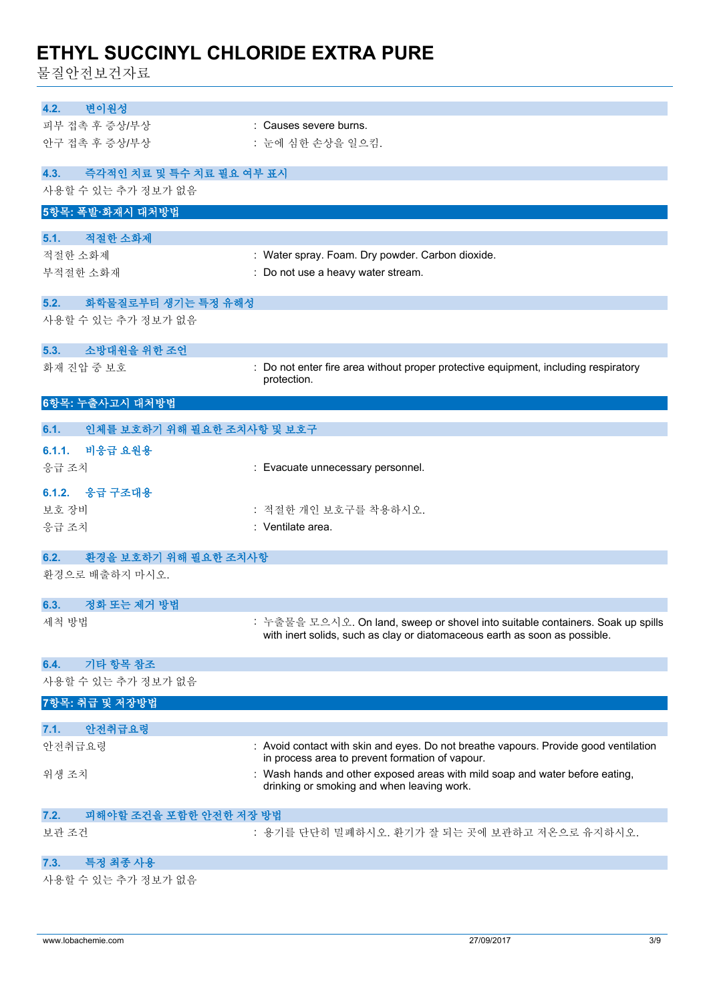물질안전보건자료

| 변이원성<br>4.2.                                           |                                                                                                                                         |
|--------------------------------------------------------|-----------------------------------------------------------------------------------------------------------------------------------------|
| 피부 접촉 후 증상/부상                                          | : Causes severe burns.                                                                                                                  |
| 안구 접촉 후 증상/부상                                          | : 눈에 심한 손상을 일으킴.                                                                                                                        |
|                                                        |                                                                                                                                         |
| 즉각적인 치료 및 특수 치료 필요 여부 표시<br>4.3.<br>사용할 수 있는 추가 정보가 없음 |                                                                                                                                         |
| 5항목: 폭발·화재시 대처방법                                       |                                                                                                                                         |
|                                                        |                                                                                                                                         |
| 적절한 소화제<br>5.1.                                        |                                                                                                                                         |
| 적절한 소화제                                                | : Water spray. Foam. Dry powder. Carbon dioxide.                                                                                        |
| 부적절한 소화재                                               | : Do not use a heavy water stream.                                                                                                      |
| 화학물질로부터 생기는 특정 유해성<br>5.2.                             |                                                                                                                                         |
| 사용할 수 있는 추가 정보가 없음                                     |                                                                                                                                         |
|                                                        |                                                                                                                                         |
| 소방대원을 위한 조언<br>5.3.<br>화재 진압 중 보호                      | : Do not enter fire area without proper protective equipment, including respiratory                                                     |
|                                                        | protection.                                                                                                                             |
| 6항목: 누출사고시 대처방법                                        |                                                                                                                                         |
|                                                        |                                                                                                                                         |
| 인체를 보호하기 위해 필요한 조치사항 및 보호구<br>6.1.                     |                                                                                                                                         |
| 6.1.1.<br>비응급 요원용                                      |                                                                                                                                         |
| 응급 조치                                                  | : Evacuate unnecessary personnel.                                                                                                       |
| 6.1.2. 응급 구조대용                                         |                                                                                                                                         |
| 보호 장비                                                  | : 적절한 개인 보호구를 착용하시오.                                                                                                                    |
| 응급 조치                                                  | : Ventilate area.                                                                                                                       |
| 환경을 보호하기 위해 필요한 조치사항<br>6.2.                           |                                                                                                                                         |
| 환경으로 배출하지 마시오.                                         |                                                                                                                                         |
|                                                        |                                                                                                                                         |
| 정화 또는 제거 방법<br>6.3.<br>세척 방법                           | : 누출물을 모으시오. On land, sweep or shovel into suitable containers. Soak up spills                                                          |
|                                                        | with inert solids, such as clay or diatomaceous earth as soon as possible.                                                              |
|                                                        |                                                                                                                                         |
| 기타 항목 참조<br>6.4.                                       |                                                                                                                                         |
| 사용할 수 있는 추가 정보가 없음                                     |                                                                                                                                         |
| 7항목: 취급 및 저장방법                                         |                                                                                                                                         |
| 안전취급요령<br>7.1.                                         |                                                                                                                                         |
| 안전취급요령                                                 | : Avoid contact with skin and eyes. Do not breathe vapours. Provide good ventilation<br>in process area to prevent formation of vapour. |
| 위생 조치                                                  | : Wash hands and other exposed areas with mild soap and water before eating,                                                            |
|                                                        | drinking or smoking and when leaving work.                                                                                              |
| 피해야할 조건을 포함한 안전한 저장 방법<br>7.2.                         |                                                                                                                                         |
| 보관 조건                                                  | : 용기를 단단히 밀폐하시오. 환기가 잘 되는 곳에 보관하고 저온으로 유지하시오.                                                                                           |
|                                                        |                                                                                                                                         |
| 특정 최종 사용<br>7.3.                                       |                                                                                                                                         |
| 사용할 수 있는 추가 정보가 없음                                     |                                                                                                                                         |
|                                                        |                                                                                                                                         |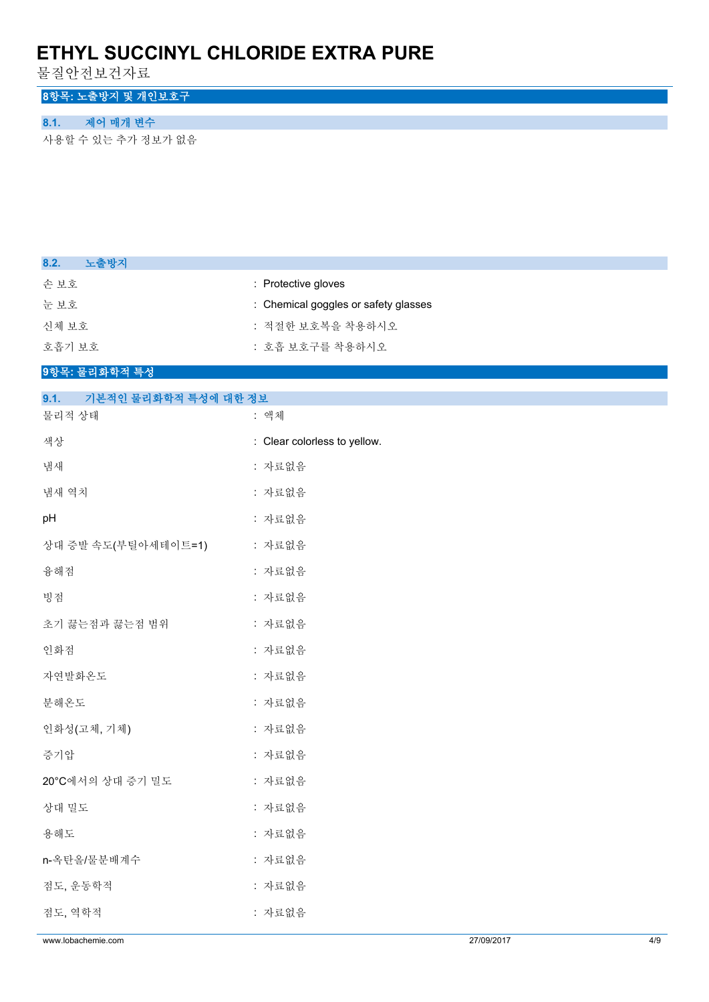물질안전보건자료

# **8항목: 노출방지 및 개인보호구**

# **8.1. 제어 매개 변수**

사용할 수 있는 추가 정보가 없음

| 노출방지<br>8.2.                 |                                      |
|------------------------------|--------------------------------------|
| 손보호                          | : Protective gloves                  |
| 눈보호                          | : Chemical goggles or safety glasses |
| 신체 보호                        | : 적절한 보호복을 착용하시오                     |
| 호흡기 보호                       | : 호흡 보호구를 착용하시오                      |
| 9항목: 물리화학적 특성                |                                      |
| 기본적인 물리화학적 특성에 대한 정보<br>9.1. |                                      |
| 물리적 상태                       | : 액체                                 |
| 색상                           | : Clear colorless to yellow.         |
| 냄새                           | : 자료없음                               |
| 냄새 역치                        | : 자료없음                               |
| pH                           | : 자료없음                               |
| 상대 증발 속도(부틸아세테이트=1)          | : 자료없음                               |
| 융해점                          | : 자료없음                               |
| 빙점                           | : 자료없음                               |
| 초기 끓는점과 끓는점 범위               | : 자료없음                               |
| 인화점                          | : 자료없음                               |
| 자연발화온도                       | : 자료없음                               |
| 분해온도                         | : 자료없음                               |
| 인화성(고체, 기체)                  | : 자료없음                               |
| 증기압                          | : 자료없음                               |
| 20°C에서의 상대 증기 밀도             | : 자료없음                               |
| 상대 밀도                        | : 자료없음                               |
| 용해도                          | : 자료없음                               |
| n-옥탄올/물분배계수                  | : 자료없음                               |
| 점도, 운동학적                     | : 자료없음                               |
| 점도, 역학적                      | : 자료없음                               |
|                              |                                      |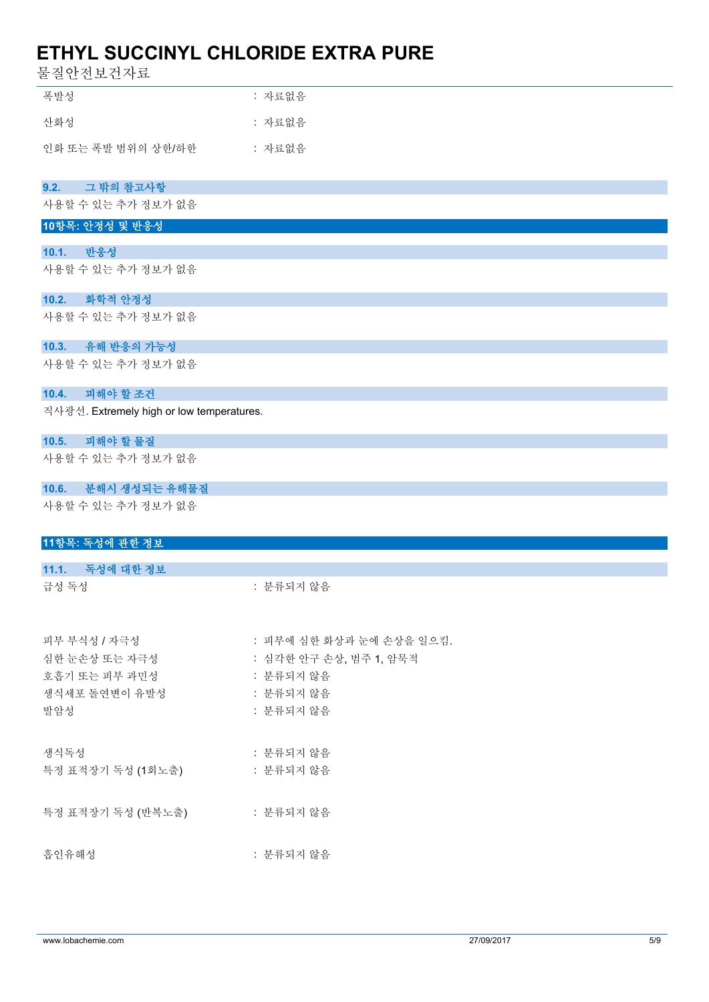물질안전보건자료

| 폭발성                | : 자료없음 |
|--------------------|--------|
| 산화성                | : 자료없음 |
| 인화 또는 폭발 범위의 상한/하한 | : 자료없음 |
|                    |        |
| 9.2.<br>그 밖의 참고사항  |        |
| 사용할 수 있는 추가 정보가 없음 |        |

### **10항목: 안정성 및 반응성**

### **10.1. 반응성**

사용할 수 있는 추가 정보가 없음

#### **10.2. 화학적 안정성**

사용할 수 있는 추가 정보가 없음

### **10.3. 유해 반응의 가능성**

사용할 수 있는 추가 정보가 없음

### **10.4. 피해야 할 조건**

직사광선. Extremely high or low temperatures.

### **10.5. 피해야 할 물질**

사용할 수 있는 추가 정보가 없음

## **10.6. 분해시 생성되는 유해물질**

사용할 수 있는 추가 정보가 없음

# **11항목: 독성에 관한 정보 11.1. 독성에 대한 정보** 급성 독성 : 분류되지 않음 피부 부식성 / 자극성 : 기부에 심한 화상과 눈에 손상을 일으킴. 심한 눈손상 또는 자극성 : 심각한 안구 손상, 범주 1, 암묵적 호흡기 또는 피부 과민성 : 분류되지 않음 생식세포 돌연변이 유발성 : 분류되지 않음 발암성 : 분류되지 않음 생식독성 : 부류되지 않음 특정 표적장기 독성 (1회노출) : 분류되지 않음

특정 표적장기 독성 (반복노출) : 분류되지 않음

흡인유해성 : 분류되지 않음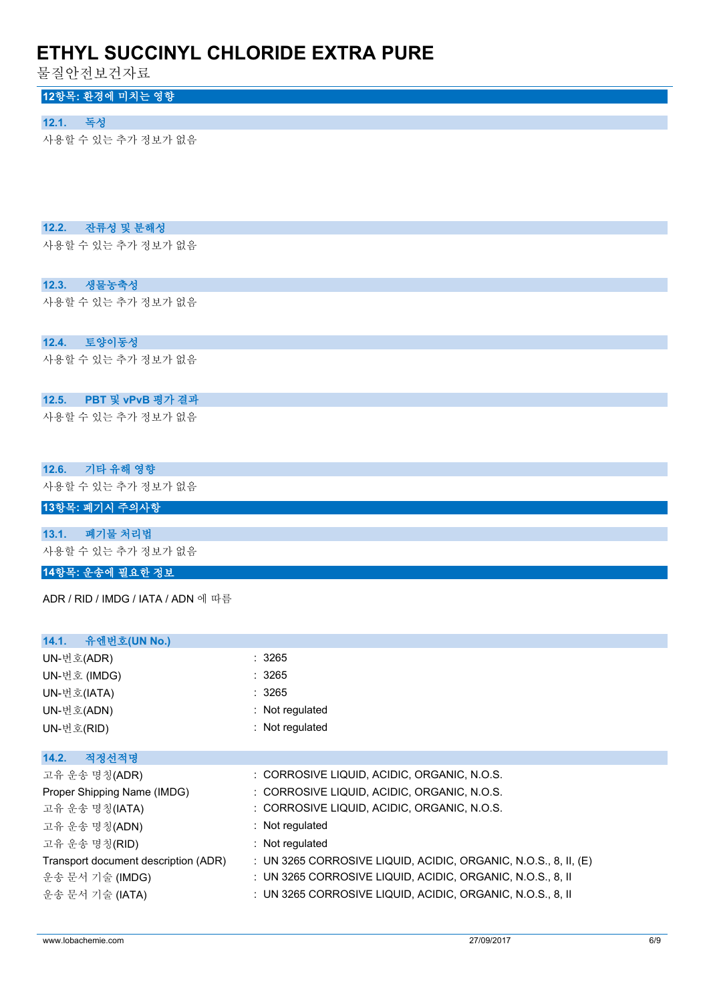물질안전보건자료

# **12항목: 환경에 미치는 영향**

### **12.1. 독성**

사용할 수 있는 추가 정보가 없음

## **12.2. 잔류성 및 분해성**

사용할 수 있는 추가 정보가 없음

## **12.3. 생물농축성**

사용할 수 있는 추가 정보가 없음

## **12.4. 토양이동성**

사용할 수 있는 추가 정보가 없음

## **12.5. PBT 및 vPvB 평가 결과**

사용할 수 있는 추가 정보가 없음

## **12.6. 기타 유해 영향**

사용할 수 있는 추가 정보가 없음

# **13항목: 폐기시 주의사항**

**13.1. 폐기물 처리법**

사용할 수 있는 추가 정보가 없음

# **14항목: 운송에 필요한 정보**

ADR / RID / IMDG / IATA / ADN 에 따름

| 유엔번호(UN No.)<br>14.1.                |                                                                   |
|--------------------------------------|-------------------------------------------------------------------|
| UN-번호(ADR)                           | : 3265                                                            |
| UN-번호 (IMDG)                         | :3265                                                             |
| UN-번호(IATA)                          | :3265                                                             |
| UN-번호(ADN)                           | : Not regulated                                                   |
| UN-번호(RID)                           | : Not regulated                                                   |
|                                      |                                                                   |
| 적정선적명<br>14.2.                       |                                                                   |
| 고유 운송 명칭(ADR)                        | : CORROSIVE LIQUID, ACIDIC, ORGANIC, N.O.S.                       |
| Proper Shipping Name (IMDG)          | : CORROSIVE LIQUID, ACIDIC, ORGANIC, N.O.S.                       |
| 고유 운송 명칭(IATA)                       | : CORROSIVE LIQUID, ACIDIC, ORGANIC, N.O.S.                       |
| 고유 운송 명칭(ADN)                        | $:$ Not regulated                                                 |
| 고유 운송 명칭(RID)                        | $:$ Not regulated                                                 |
| Transport document description (ADR) | : UN 3265 CORROSIVE LIQUID, ACIDIC, ORGANIC, N.O.S., 8, II, $(E)$ |
| 운송 문서 기술 (IMDG)                      | : UN 3265 CORROSIVE LIQUID, ACIDIC, ORGANIC, N.O.S., 8, II        |
| 운송 문서 기술 (IATA)                      | : UN 3265 CORROSIVE LIQUID, ACIDIC, ORGANIC, N.O.S., 8, II        |
|                                      |                                                                   |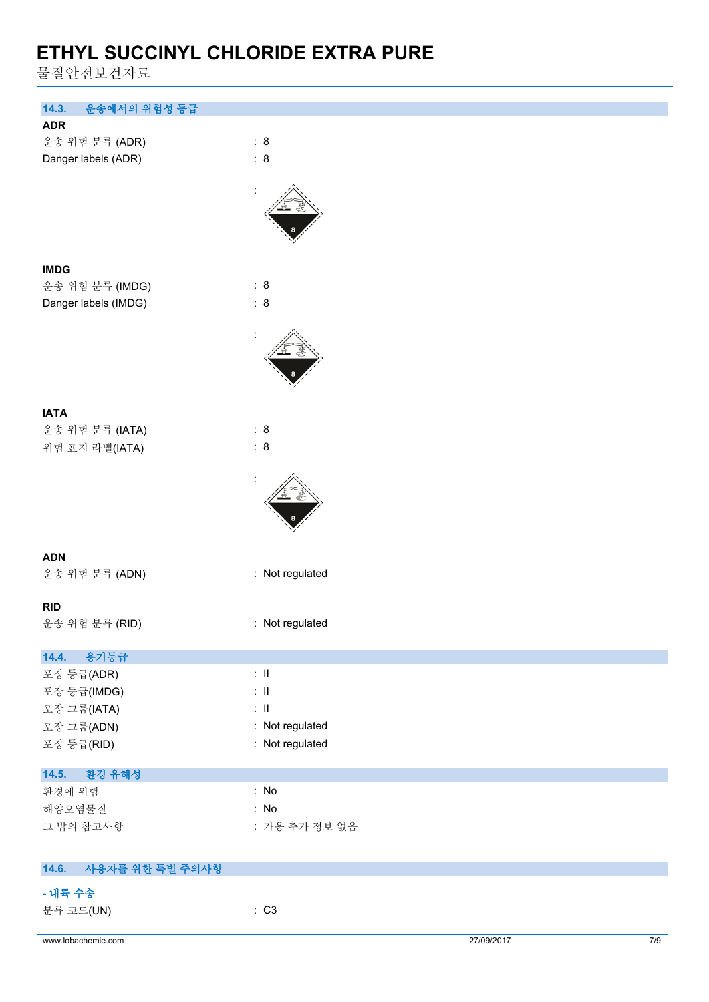물질안전보건자료

| 14.3.<br>운송에서의 위험성 등급    |                 |            |     |
|--------------------------|-----------------|------------|-----|
| <b>ADR</b>               |                 |            |     |
| 운송 위험 분류 (ADR)           | : 8             |            |     |
| Danger labels (ADR)      | : 8             |            |     |
|                          |                 |            |     |
|                          |                 |            |     |
|                          |                 |            |     |
|                          |                 |            |     |
|                          |                 |            |     |
| <b>IMDG</b>              |                 |            |     |
| 운송 위험 분류 (IMDG)          | : 8             |            |     |
| Danger labels (IMDG)     | : 8             |            |     |
|                          |                 |            |     |
|                          |                 |            |     |
|                          |                 |            |     |
|                          |                 |            |     |
|                          |                 |            |     |
| <b>IATA</b>              |                 |            |     |
| 운송 위험 분류 (IATA)          | : 8             |            |     |
| 위험 표지 라벨(IATA)           | : 8             |            |     |
|                          |                 |            |     |
|                          |                 |            |     |
|                          |                 |            |     |
|                          |                 |            |     |
|                          |                 |            |     |
| <b>ADN</b>               |                 |            |     |
| 운송 위험 분류 (ADN)           | : Not regulated |            |     |
|                          |                 |            |     |
| <b>RID</b>               |                 |            |     |
| 운송 위험 분류 (RID)           | : Not regulated |            |     |
| 14.4.<br>용기등급            |                 |            |     |
| 포장 등급(ADR)               | $\lesssim 11$   |            |     |
| 포장 등급(IMDG)              | $\lesssim 11$   |            |     |
| 포장 그룹(IATA)              | $\lesssim 11$   |            |     |
| 포장 그룹(ADN)               | : Not regulated |            |     |
| 포장 등급(RID)               | : Not regulated |            |     |
|                          |                 |            |     |
| 14.5.<br>환경 유해성          |                 |            |     |
| 환경에 위험                   | : No            |            |     |
| 해양오염물질                   | : No            |            |     |
| 그 밖의 참고사항                | : 가용 추가 정보 없음   |            |     |
|                          |                 |            |     |
| 14.6.<br>사용자를 위한 특별 주의사항 |                 |            |     |
| - 내륙 수송                  |                 |            |     |
| 분류 코드(UN)                | : C3            |            |     |
|                          |                 |            |     |
| www.lobachemie.com       |                 | 27/09/2017 | 7/9 |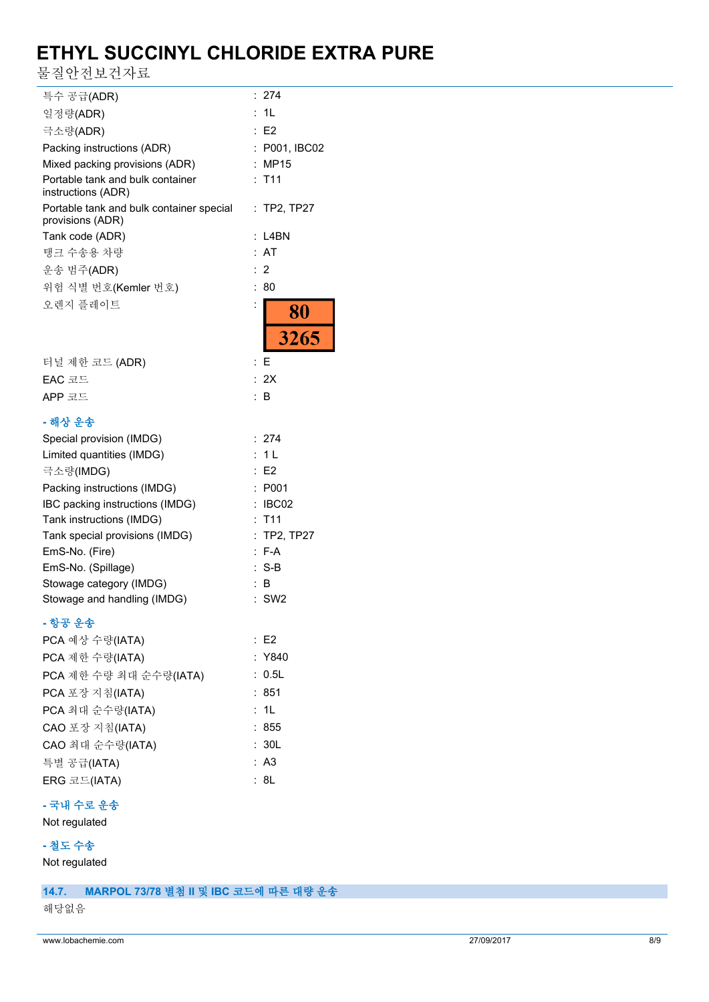물질안전보건자료

| 특수 공급(ADR)                                                   | : 274         |
|--------------------------------------------------------------|---------------|
| 일정량(ADR)                                                     | : 1L          |
| 극소량(ADR)                                                     | E2            |
| Packing instructions (ADR)                                   | : P001, IBC02 |
| Mixed packing provisions (ADR)                               | : MP15        |
| Portable tank and bulk container<br>instructions (ADR)       | $:$ T11       |
| Portable tank and bulk container special<br>provisions (ADR) | : TP2, TP27   |
| Tank code (ADR)                                              | $: 14$ BN     |
| 탱크 수송용 차량                                                    | : AT          |
| 운송 범주(ADR)                                                   | $\cdot$ 2     |
| 위험 식별 번호(Kemler 번호)                                          | : 80          |
| 오렌지 플레이트                                                     | 80            |
|                                                              | 3265          |
| 터널 제한 코드 (ADR)                                               | : F           |
| EAC 코드                                                       | : 2X          |
| APP 코드                                                       | : B           |

### **- 해상 운송**

| Special provision (IMDG)        | : 274              |
|---------------------------------|--------------------|
| Limited quantities (IMDG)       | : 1 L              |
| 극소량(IMDG)                       | E2                 |
| Packing instructions (IMDG)     | : P001             |
| IBC packing instructions (IMDG) | $\therefore$ IBC02 |
| Tank instructions (IMDG)        | $:$ T11            |
| Tank special provisions (IMDG)  | $:$ TP2, TP27      |
| EmS-No. (Fire)                  | $: F-A$            |
| EmS-No. (Spillage)              | $: S-B$            |
| Stowage category (IMDG)         | : B                |
| Stowage and handling (IMDG)     | $:$ SW2            |

## **- 항공 운송**

| E2     |
|--------|
| : Y840 |
| : 0.5L |
| : 851  |
| : 1L   |
| : 855  |
| : 30L  |
| : A3   |
| : 8L   |
|        |

# **- 국내 수로 운송**

Not regulated

## **- 철도 수송**

Not regulated

## **14.7. MARPOL 73/78 별첨 II 및 IBC 코드에 따른 대량 운송**

해당없음